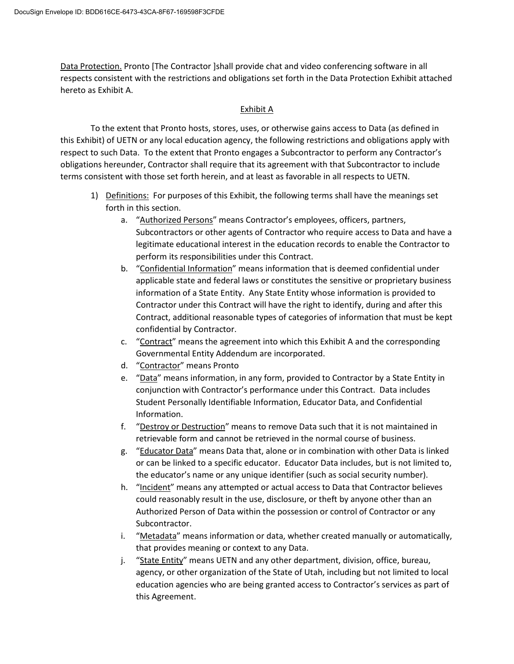Data Protection. Pronto [The Contractor ]shall provide chat and video conferencing software in all respects consistent with the restrictions and obligations set forth in the Data Protection Exhibit attached hereto as Exhibit A.

## Exhibit A

To the extent that Pronto hosts, stores, uses, or otherwise gains access to Data (as defined in this Exhibit) of UETN or any local education agency, the following restrictions and obligations apply with respect to such Data. To the extent that Pronto engages a Subcontractor to perform any Contractor's obligations hereunder, Contractor shall require that its agreement with that Subcontractor to include terms consistent with those set forth herein, and at least as favorable in all respects to UETN.

- 1) Definitions: For purposes of this Exhibit, the following terms shall have the meanings set forth in this section.
	- a. "Authorized Persons" means Contractor's employees, officers, partners, Subcontractors or other agents of Contractor who require access to Data and have a legitimate educational interest in the education records to enable the Contractor to perform its responsibilities under this Contract.
	- b. "Confidential Information" means information that is deemed confidential under applicable state and federal laws or constitutes the sensitive or proprietary business information of a State Entity. Any State Entity whose information is provided to Contractor under this Contract will have the right to identify, during and after this Contract, additional reasonable types of categories of information that must be kept confidential by Contractor.
	- c. "Contract" means the agreement into which this Exhibit A and the corresponding Governmental Entity Addendum are incorporated.
	- d. "Contractor" means Pronto
	- e. "Data" means information, in any form, provided to Contractor by a State Entity in conjunction with Contractor's performance under this Contract. Data includes Student Personally Identifiable Information, Educator Data, and Confidential Information.
	- f. "Destroy or Destruction" means to remove Data such that it is not maintained in retrievable form and cannot be retrieved in the normal course of business.
	- g. "Educator Data" means Data that, alone or in combination with other Data is linked or can be linked to a specific educator. Educator Data includes, but is not limited to, the educator's name or any unique identifier (such as social security number).
	- h. "Incident" means any attempted or actual access to Data that Contractor believes could reasonably result in the use, disclosure, or theft by anyone other than an Authorized Person of Data within the possession or control of Contractor or any Subcontractor.
	- i. "Metadata" means information or data, whether created manually or automatically, that provides meaning or context to any Data.
	- j. "State Entity" means UETN and any other department, division, office, bureau, agency, or other organization of the State of Utah, including but not limited to local education agencies who are being granted access to Contractor's services as part of this Agreement.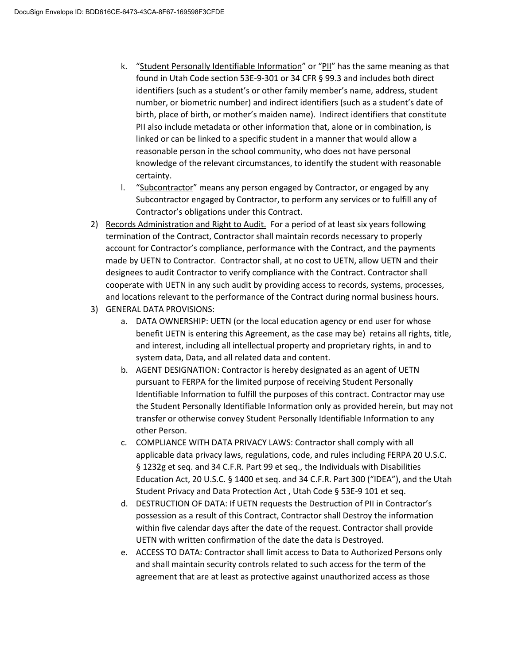- k. "Student Personally Identifiable Information" or "PII" has the same meaning as that found in Utah Code section 53E-9-301 or 34 CFR § 99.3 and includes both direct identifiers (such as a student's or other family member's name, address, student number, or biometric number) and indirect identifiers (such as a student's date of birth, place of birth, or mother's maiden name). Indirect identifiers that constitute PII also include metadata or other information that, alone or in combination, is linked or can be linked to a specific student in a manner that would allow a reasonable person in the school community, who does not have personal knowledge of the relevant circumstances, to identify the student with reasonable certainty.
- l. "Subcontractor" means any person engaged by Contractor, or engaged by any Subcontractor engaged by Contractor, to perform any services or to fulfill any of Contractor's obligations under this Contract.
- 2) Records Administration and Right to Audit. For a period of at least six years following termination of the Contract, Contractor shall maintain records necessary to properly account for Contractor's compliance, performance with the Contract, and the payments made by UETN to Contractor. Contractor shall, at no cost to UETN, allow UETN and their designees to audit Contractor to verify compliance with the Contract. Contractor shall cooperate with UETN in any such audit by providing access to records, systems, processes, and locations relevant to the performance of the Contract during normal business hours.
- 3) GENERAL DATA PROVISIONS:
	- a. DATA OWNERSHIP: UETN (or the local education agency or end user for whose benefit UETN is entering this Agreement, as the case may be) retains all rights, title, and interest, including all intellectual property and proprietary rights, in and to system data, Data, and all related data and content.
	- b. AGENT DESIGNATION: Contractor is hereby designated as an agent of UETN pursuant to FERPA for the limited purpose of receiving Student Personally Identifiable Information to fulfill the purposes of this contract. Contractor may use the Student Personally Identifiable Information only as provided herein, but may not transfer or otherwise convey Student Personally Identifiable Information to any other Person.
	- c. COMPLIANCE WITH DATA PRIVACY LAWS: Contractor shall comply with all applicable data privacy laws, regulations, code, and rules including FERPA 20 U.S.C. § 1232g et seq. and 34 C.F.R. Part 99 et seq., the Individuals with Disabilities Education Act, 20 U.S.C. § 1400 et seq. and 34 C.F.R. Part 300 ("IDEA"), and the Utah Student Privacy and Data Protection Act , Utah Code § 53E-9 101 et seq.
	- d. DESTRUCTION OF DATA: If UETN requests the Destruction of PII in Contractor's possession as a result of this Contract, Contractor shall Destroy the information within five calendar days after the date of the request. Contractor shall provide UETN with written confirmation of the date the data is Destroyed.
	- e. ACCESS TO DATA: Contractor shall limit access to Data to Authorized Persons only and shall maintain security controls related to such access for the term of the agreement that are at least as protective against unauthorized access as those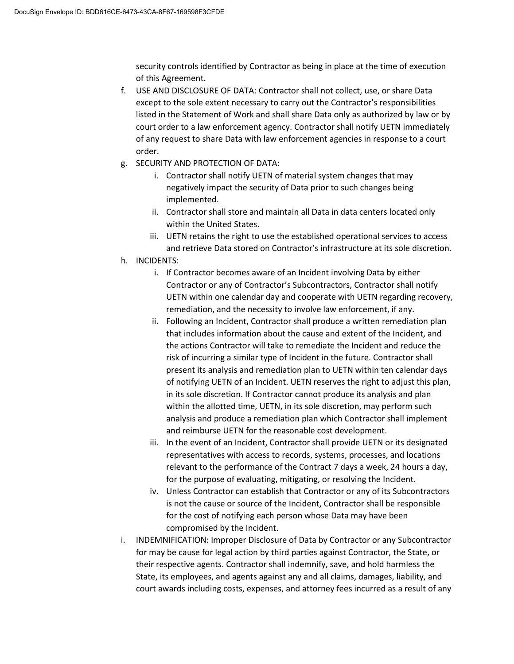security controls identified by Contractor as being in place at the time of execution of this Agreement.

- f. USE AND DISCLOSURE OF DATA: Contractor shall not collect, use, or share Data except to the sole extent necessary to carry out the Contractor's responsibilities listed in the Statement of Work and shall share Data only as authorized by law or by court order to a law enforcement agency. Contractor shall notify UETN immediately of any request to share Data with law enforcement agencies in response to a court order.
- g. SECURITY AND PROTECTION OF DATA:
	- i. Contractor shall notify UETN of material system changes that may negatively impact the security of Data prior to such changes being implemented.
	- ii. Contractor shall store and maintain all Data in data centers located only within the United States.
	- iii. UETN retains the right to use the established operational services to access and retrieve Data stored on Contractor's infrastructure at its sole discretion.
- h. INCIDENTS:
	- i. If Contractor becomes aware of an Incident involving Data by either Contractor or any of Contractor's Subcontractors, Contractor shall notify UETN within one calendar day and cooperate with UETN regarding recovery, remediation, and the necessity to involve law enforcement, if any.
	- ii. Following an Incident, Contractor shall produce a written remediation plan that includes information about the cause and extent of the Incident, and the actions Contractor will take to remediate the Incident and reduce the risk of incurring a similar type of Incident in the future. Contractor shall present its analysis and remediation plan to UETN within ten calendar days of notifying UETN of an Incident. UETN reserves the right to adjust this plan, in its sole discretion. If Contractor cannot produce its analysis and plan within the allotted time, UETN, in its sole discretion, may perform such analysis and produce a remediation plan which Contractor shall implement and reimburse UETN for the reasonable cost development.
	- iii. In the event of an Incident, Contractor shall provide UETN or its designated representatives with access to records, systems, processes, and locations relevant to the performance of the Contract 7 days a week, 24 hours a day, for the purpose of evaluating, mitigating, or resolving the Incident.
	- iv. Unless Contractor can establish that Contractor or any of its Subcontractors is not the cause or source of the Incident, Contractor shall be responsible for the cost of notifying each person whose Data may have been compromised by the Incident.
- i. INDEMNIFICATION: Improper Disclosure of Data by Contractor or any Subcontractor for may be cause for legal action by third parties against Contractor, the State, or their respective agents. Contractor shall indemnify, save, and hold harmless the State, its employees, and agents against any and all claims, damages, liability, and court awards including costs, expenses, and attorney fees incurred as a result of any